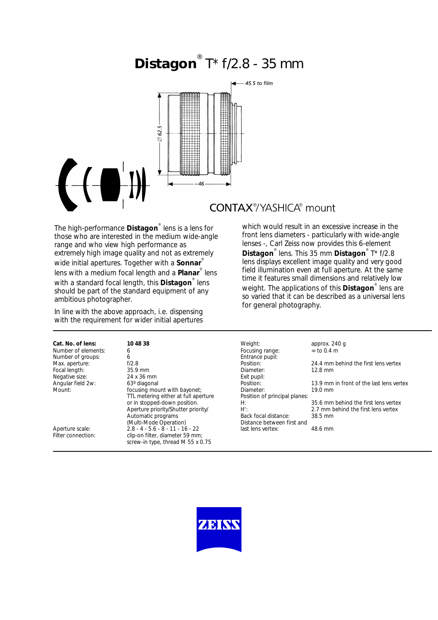# **Distagon** ® T\* f/2.8 - 35 mm



## **CONTAX®/YASHICA®** mount

The high-performance **Distagon**® lens is a lens for those who are interested in the medium wide-angle range and who view high performance as extremely high image quality and not as extremely wide initial apertures. Together with a **Sonnar**® lens with a medium focal length and a **Planar**® lens with a standard focal length, this **Distagon**® lens should be part of the standard equipment of any ambitious photographer.

In line with the above approach, i.e. dispensing with the requirement for wider initial apertures

| Cat. No. of lens:   | 10 48 38                             | Weight:                       | approx. 240 q                            |
|---------------------|--------------------------------------|-------------------------------|------------------------------------------|
| Number of elements: | 6                                    | Focusing range:               | $\infty$ to 0.4 m                        |
| Number of groups:   | 6                                    | Entrance pupil:               |                                          |
| Max. aperture:      | f/2.8                                | Position:                     | 24.4 mm behind the first lens vertex     |
| Focal length:       | $35.9$ mm                            | Diameter:                     | $12.8 \text{ mm}$                        |
| Negative size:      | 24 x 36 mm                           | Exit pupil:                   |                                          |
| Angular field 2w:   | 63 <sup>°</sup> diagonal             | Position:                     | 13.9 mm in front of the last lens vertex |
| Mount:              | focusing mount with bayonet;         | Diameter:                     | $19.0 \text{ mm}$                        |
|                     | TTL metering either at full aperture | Position of principal planes: |                                          |
|                     | or in stopped-down position.         | H:                            | 35.6 mm behind the first lens vertex     |
|                     | Aperture priority/Shutter priority/  | H':                           | 2.7 mm behind the first lens vertex      |
|                     | Automatic programs                   | Back focal distance:          | $38.5 \text{ mm}$                        |
|                     | (Multi-Mode Operation)               | Distance between first and    |                                          |
| Aperture scale:     | $2.8 - 4 - 5.6 - 8 - 11 - 16 - 22$   | last lens vertex:             | 48.6 mm                                  |
| Filter connection:  | clip-on filter, diameter 59 mm;      |                               |                                          |

screw-in type, thread M 55 x 0.75

which would result in an excessive increase in the front lens diameters - particularly with wide-angle lenses -, Carl Zeiss now provides this 6-element **Distagon**® lens. This 35 mm **Distagon**® T\* f/2.8 lens displays excellent image quality and very good field illumination even at full aperture. At the same time it features small dimensions and relatively low weight. The applications of this **Distagon**® lens are so varied that it can be described as a universal lens for general photography.